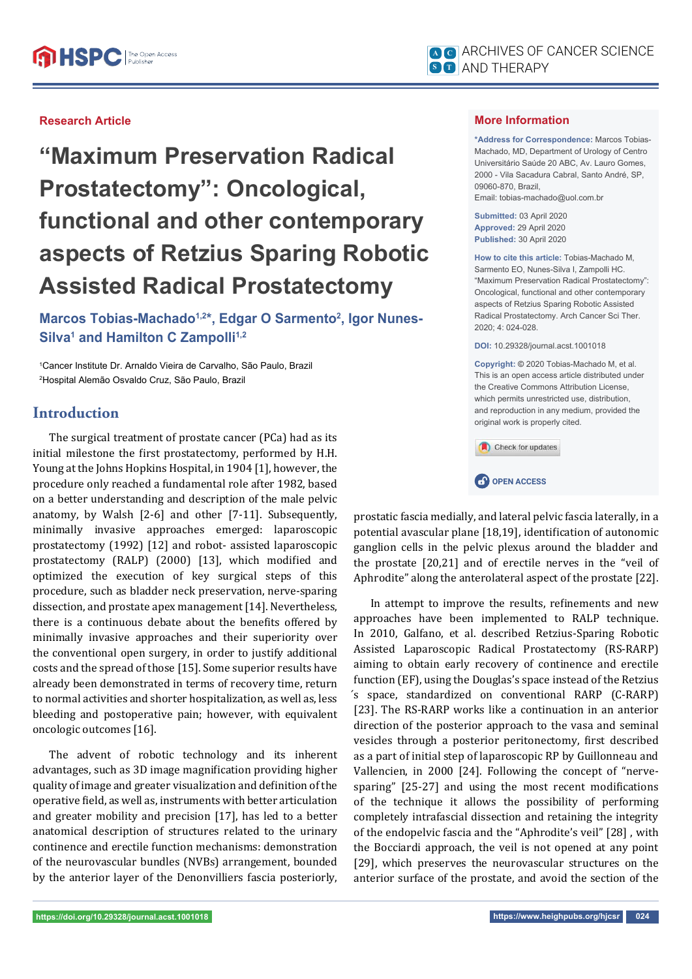### **Research Article**

**"Maximum Preservation Radical Prostatectomy": Oncological, functional and other contemporary aspects of Retzius Sparing Robotic Assisted Radical Prostatectomy**

Marcos Tobias-Machado<sup>1,2\*</sup>, Edgar O Sarmento<sup>2</sup>, Igor Nunes-Silva<sup>1</sup> and Hamilton C Zampolli<sup>1,2</sup>

1 Cancer Institute Dr. Arnaldo Vieira de Carvalho, São Paulo, Brazil 2 Hospital Alemão Osvaldo Cruz, São Paulo, Brazil

# **Introduction**

The surgical treatment of prostate cancer (PCa) had as its initial milestone the first prostatectomy, performed by H.H. Young at the Johns Hopkins Hospital, in 1904 [1], however, the procedure only reached a fundamental role after 1982, based on a better understanding and description of the male pelvic anatomy, by Walsh [2-6] and other [7-11]. Subsequently, minimally invasive approaches emerged: laparoscopic prostatectomy (1992) [12] and robot- assisted laparoscopic prostatectomy (RALP) (2000) [13], which modified and optimized the execution of key surgical steps of this procedure, such as bladder neck preservation, nerve-sparing dissection, and prostate apex management [14]. Nevertheless, there is a continuous debate about the benefits offered by minimally invasive approaches and their superiority over the conventional open surgery, in order to justify additional costs and the spread of those [15]. Some superior results have already been demonstrated in terms of recovery time, return to normal activities and shorter hospitalization, as well as, less bleeding and postoperative pain; however, with equivalent oncologic outcomes [16].

The advent of robotic technology and its inherent advantages, such as 3D image magnification providing higher quality of image and greater visualization and definition of the operative field, as well as, instruments with better articulation and greater mobility and precision [17], has led to a better anatomical description of structures related to the urinary continence and erectile function mechanisms: demonstration of the neurovascular bundles (NVBs) arrangement, bounded by the anterior layer of the Denonvilliers fascia posteriorly,

#### **More Information**

**\*Address for Correspondence:** Marcos Tobias-Machado, MD, Department of Urology of Centro Universitário Saúde 20 ABC, Av. Lauro Gomes, 2000 - Vila Sacadura Cabral, Santo André, SP, 09060-870, Brazil, Email: tobias-machado@uol.com.br

**Submitted:** 03 April 2020 **Approved:** 29 April 2020 **Published:** 30 April 2020

**How to cite this article:** Tobias-Machado M, Sarmento EO, Nunes-Silva I, Zampolli HC. "Maximum Preservation Radical Prostatectomy": Oncological, functional and other contemporary aspects of Retzius Sparing Robotic Assisted Radical Prostatectomy. Arch Cancer Sci Ther. 2020; 4: 024-028.

**DOI:** 10.29328/journal.acst.1001018

**Copyright: ©** 2020 Tobias-Machado M, et al. This is an open access article distributed under the Creative Commons Attribution License, which permits unrestricted use, distribution, and reproduction in any medium, provided the original work is properly cited.





prostatic fascia medially, and lateral pelvic fascia laterally, in a potential avascular plane [18,19], identification of autonomic ganglion cells in the pelvic plexus around the bladder and the prostate [20,21] and of erectile nerves in the "veil of Aphrodite" along the anterolateral aspect of the prostate [22].

In attempt to improve the results, refinements and new approaches have been implemented to RALP technique. In 2010, Galfano, et al. described Retzius-Sparing Robotic Assisted Laparoscopic Radical Prostatectomy (RS-RARP) aiming to obtain early recovery of continence and erectile function (EF), using the Douglas's space instead of the Retzius ́s space, standardized on conventional RARP (C-RARP) [23]. The RS-RARP works like a continuation in an anterior direction of the posterior approach to the vasa and seminal vesicles through a posterior peritonectomy, first described as a part of initial step of laparoscopic RP by Guillonneau and Vallencien, in 2000 [24]. Following the concept of "nervesparing" [25-27] and using the most recent modifications of the technique it allows the possibility of performing completely intrafascial dissection and retaining the integrity of the endopelvic fascia and the "Aphrodite's veil" [28] , with the Bocciardi approach, the veil is not opened at any point [29], which preserves the neurovascular structures on the anterior surface of the prostate, and avoid the section of the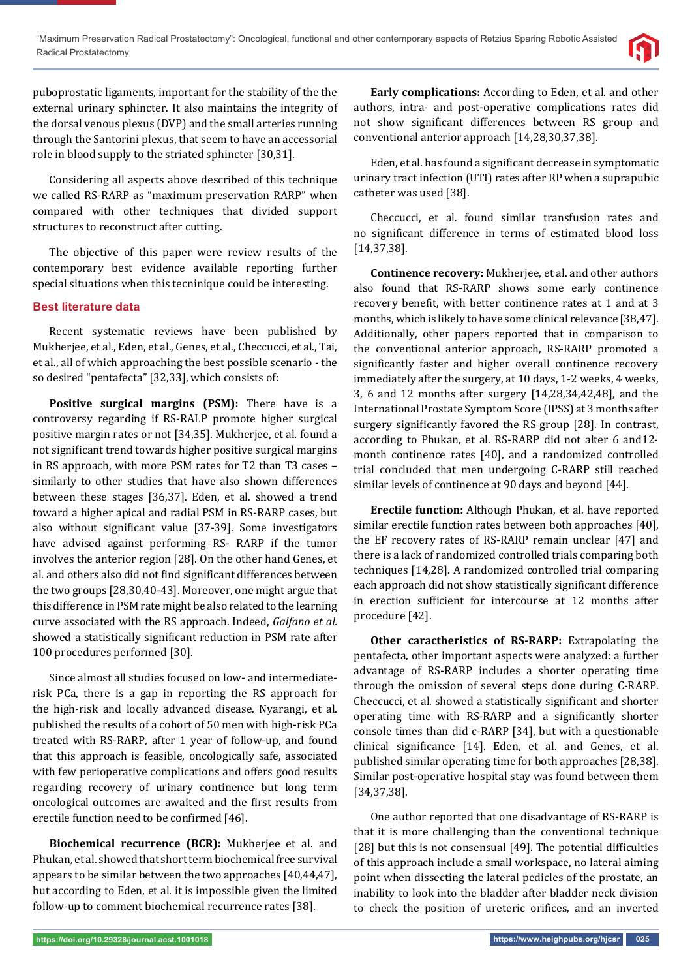puboprostatic ligaments, important for the stability of the the external urinary sphincter. It also maintains the integrity of the dorsal venous plexus (DVP) and the small arteries running through the Santorini plexus, that seem to have an accessorial role in blood supply to the striated sphincter [30,31].

Considering all aspects above described of this technique we called RS-RARP as "maximum preservation RARP" when compared with other techniques that divided support structures to reconstruct after cutting.

The objective of this paper were review results of the contemporary best evidence available reporting further special situations when this tecninique could be interesting.

#### **Best literature data**

Recent systematic reviews have been published by Mukherjee, et al., Eden, et al., Genes, et al., Checcucci, et al., Tai, et al., all of which approaching the best possible scenario - the so desired "pentafecta" [32,33], which consists of:

**Positive surgical margins (PSM):** There have is a controversy regarding if RS-RALP promote higher surgical positive margin rates or not [34,35]. Mukherjee, et al*.* found a not significant trend towards higher positive surgical margins in RS approach, with more PSM rates for T2 than T3 cases – similarly to other studies that have also shown differences between these stages [36,37]. Eden, et al. showed a trend toward a higher apical and radial PSM in RS-RARP cases, but also without significant value [37-39]. Some investigators have advised against performing RS- RARP if the tumor involves the anterior region [28]. On the other hand Genes, et al. and others also did not find significant differences between the two groups [28,30,40-43]. Moreover, one might argue that this difference in PSM rate might be also related to the learning curve associated with the RS approach. Indeed, *Galfano et al.*  showed a statistically significant reduction in PSM rate after 100 procedures performed [30].

Since almost all studies focused on low- and intermediaterisk PCa, there is a gap in reporting the RS approach for the high-risk and locally advanced disease. Nyarangi, et al. published the results of a cohort of 50 men with high-risk PCa treated with RS-RARP, after 1 year of follow-up, and found that this approach is feasible, oncologically safe, associated with few perioperative complications and offers good results regarding recovery of urinary continence but long term oncological outcomes are awaited and the first results from erectile function need to be confirmed [46].

**Biochemical recurrence (BCR):** Mukherjee et al. and Phukan, et al. showed that short term biochemical free survival appears to be similar between the two approaches [40,44,47], but according to Eden, et al. it is impossible given the limited follow-up to comment biochemical recurrence rates [38].

**Early complications:** According to Eden, et al. and other authors, intra- and post-operative complications rates did not show significant differences between RS group and conventional anterior approach [14,28,30,37,38].

Eden, et al. has found a significant decrease in symptomatic urinary tract infection (UTI) rates after RP when a suprapubic catheter was used [38].

Checcucci, et al*.* found similar transfusion rates and no significant difference in terms of estimated blood loss [14,37,38].

**Continence recovery:** Mukherjee, et al. and other authors also found that RS-RARP shows some early continence recovery benefit, with better continence rates at 1 and at 3 months, which is likely to have some clinical relevance [38,47]. Additionally, other papers reported that in comparison to the conventional anterior approach, RS-RARP promoted a significantly faster and higher overall continence recovery immediately after the surgery, at 10 days, 1-2 weeks, 4 weeks, 3, 6 and 12 months after surgery [14,28,34,42,48], and the International Prostate Symptom Score (IPSS) at 3 months after surgery significantly favored the RS group [28]. In contrast, according to Phukan, et al. RS-RARP did not alter 6 and12 month continence rates [40], and a randomized controlled trial concluded that men undergoing C-RARP still reached similar levels of continence at 90 days and beyond [44].

**Erectile function:** Although Phukan, et al*.* have reported similar erectile function rates between both approaches [40], the EF recovery rates of RS-RARP remain unclear [47] and there is a lack of randomized controlled trials comparing both techniques [14,28]. A randomized controlled trial comparing each approach did not show statistically significant difference in erection sufficient for intercourse at 12 months after procedure [42].

**Other caractheristics of RS-RARP:** Extrapolating the pentafecta, other important aspects were analyzed: a further advantage of RS-RARP includes a shorter operating time through the omission of several steps done during C-RARP. Checcucci, et al. showed a statistically significant and shorter operating time with RS-RARP and a significantly shorter console times than did c-RARP [34], but with a questionable clinical significance [14]. Eden, et al. and Genes, et al. published similar operating time for both approaches [28,38]. Similar post-operative hospital stay was found between them [34,37,38].

One author reported that one disadvantage of RS-RARP is that it is more challenging than the conventional technique  $[28]$  but this is not consensual  $[49]$ . The potential difficulties of this approach include a small workspace, no lateral aiming point when dissecting the lateral pedicles of the prostate, an inability to look into the bladder after bladder neck division to check the position of ureteric orifices, and an inverted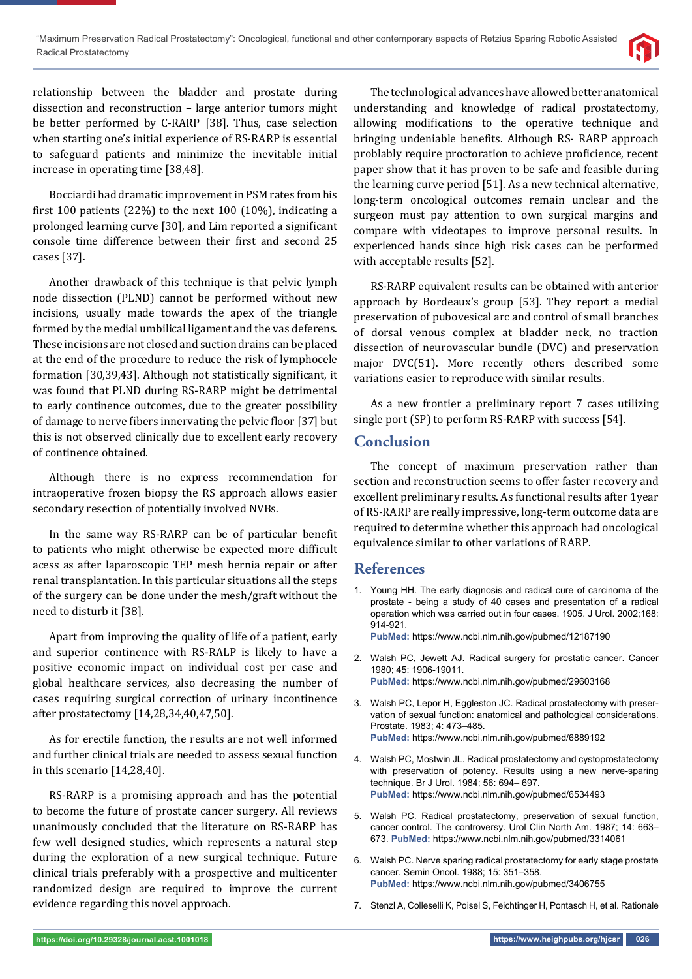

relationship between the bladder and prostate during dissection and reconstruction – large anterior tumors might be better performed by C-RARP [38]. Thus, case selection when starting one's initial experience of RS-RARP is essential to safeguard patients and minimize the inevitable initial increase in operating time [38,48].

Bocciardi had dramatic improvement in PSM rates from his first 100 patients  $(22%)$  to the next 100  $(10%)$ , indicating a prolonged learning curve [30], and Lim reported a significant console time difference between their first and second 25 cases [37].

Another drawback of this technique is that pelvic lymph node dissection (PLND) cannot be performed without new incisions, usually made towards the apex of the triangle formed by the medial umbilical ligament and the vas deferens. These incisions are not closed and suction drains can be placed at the end of the procedure to reduce the risk of lymphocele formation [30,39,43]. Although not statistically significant, it was found that PLND during RS-RARP might be detrimental to early continence outcomes, due to the greater possibility of damage to nerve fibers innervating the pelvic floor [37] but this is not observed clinically due to excellent early recovery of continence obtained.

Although there is no express recommendation for intraoperative frozen biopsy the RS approach allows easier secondary resection of potentially involved NVBs.

In the same way RS-RARP can be of particular benefit to patients who might otherwise be expected more difficult acess as after laparoscopic TEP mesh hernia repair or after renal transplantation. In this particular situations all the steps of the surgery can be done under the mesh/graft without the need to disturb it [38].

Apart from improving the quality of life of a patient, early and superior continence with RS-RALP is likely to have a positive economic impact on individual cost per case and global healthcare services, also decreasing the number of cases requiring surgical correction of urinary incontinence after prostatectomy [14,28,34,40,47,50].

As for erectile function, the results are not well informed and further clinical trials are needed to assess sexual function in this scenario [14,28,40].

RS-RARP is a promising approach and has the potential to become the future of prostate cancer surgery. All reviews unanimously concluded that the literature on RS-RARP has few well designed studies, which represents a natural step during the exploration of a new surgical technique. Future clinical trials preferably with a prospective and multicenter randomized design are required to improve the current evidence regarding this novel approach.

The technological advances have allowed better anatomical understanding and knowledge of radical prostatectomy, allowing modifications to the operative technique and bringing undeniable benefits. Although RS- RARP approach problably require proctoration to achieve proficience, recent paper show that it has proven to be safe and feasible during the learning curve period [51]. As a new technical alternative, long-term oncological outcomes remain unclear and the surgeon must pay attention to own surgical margins and compare with videotapes to improve personal results. In experienced hands since high risk cases can be performed with acceptable results [52].

RS-RARP equivalent results can be obtained with anterior approach by Bordeaux's group [53]. They report a medial preservation of pubovesical arc and control of small branches of dorsal venous complex at bladder neck, no traction dissection of neurovascular bundle (DVC) and preservation major DVC(51). More recently others described some variations easier to reproduce with similar results.

As a new frontier a preliminary report 7 cases utilizing single port (SP) to perform RS-RARP with success [54].

## **Conclusion**

The concept of maximum preservation rather than section and reconstruction seems to offer faster recovery and excellent preliminary results. As functional results after 1year of RS-RARP are really impressive, long-term outcome data are required to determine whether this approach had oncological equivalence similar to other variations of RARP.

# **References**

1. Young HH. The early diagnosis and radical cure of carcinoma of the prostate - being a study of 40 cases and presentation of a radical operation which was carried out in four cases. 1905. J Urol. 2002;168: 914-921.

**PubMed:** https://www.ncbi.nlm.nih.gov/pubmed/12187190

- 2. Walsh PC, Jewett AJ. Radical surgery for prostatic cancer. Cancer 1980; 45: 1906-19011. **PubMed:** https://www.ncbi.nlm.nih.gov/pubmed/29603168
- 3. Walsh PC, Lepor H, Eggleston JC. Radical prostatectomy with preservation of sexual function: anatomical and pathological considerations. Prostate. 1983; 4: 473–485. **PubMed:** https://www.ncbi.nlm.nih.gov/pubmed/6889192
- 4. Walsh PC, Mostwin JL. Radical prostatectomy and cystoprostatectomy with preservation of potency. Results using a new nerve-sparing technique. Br J Urol. 1984; 56: 694– 697. **PubMed:** https://www.ncbi.nlm.nih.gov/pubmed/6534493
- 5. Walsh PC. Radical prostatectomy, preservation of sexual function, cancer control. The controversy. Urol Clin North Am. 1987; 14: 663– 673. **PubMed:** https://www.ncbi.nlm.nih.gov/pubmed/3314061
- 6. Walsh PC. Nerve sparing radical prostatectomy for early stage prostate cancer. Semin Oncol. 1988; 15: 351–358. **PubMed:** https://www.ncbi.nlm.nih.gov/pubmed/3406755
- 7. Stenzl A, Colleselli K, Poisel S, Feichtinger H, Pontasch H, et al. Rationale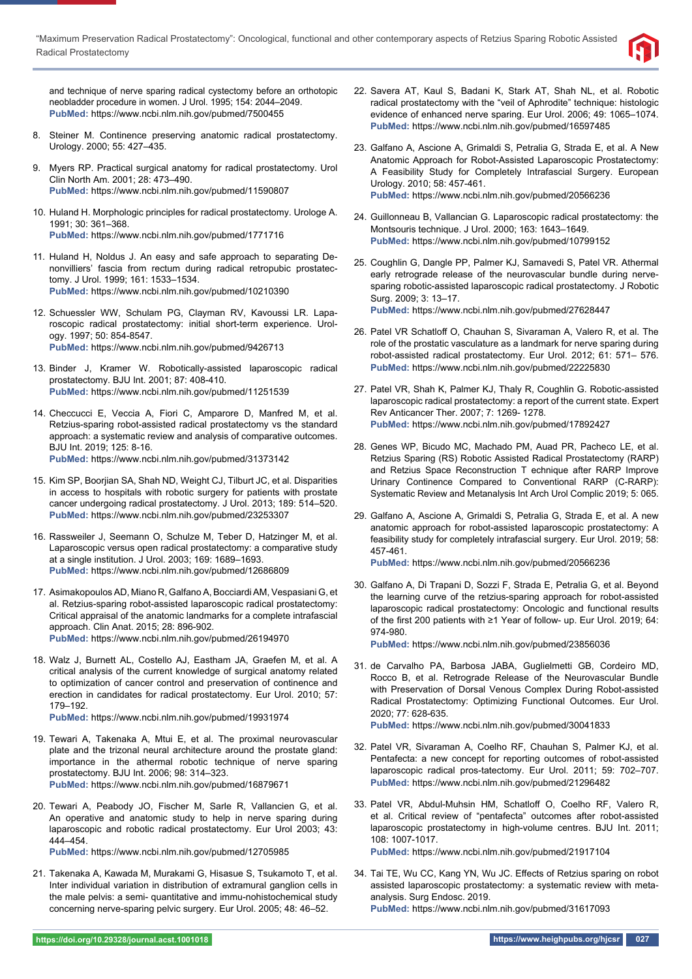

and technique of nerve sparing radical cystectomy before an orthotopic neobladder procedure in women. J Urol. 1995; 154: 2044–2049. **PubMed:** https://www.ncbi.nlm.nih.gov/pubmed/7500455

- 8. Steiner M. Continence preserving anatomic radical prostatectomy. Urology. 2000; 55: 427–435.
- 9. Myers RP. Practical surgical anatomy for radical prostatectomy. Urol Clin North Am. 2001; 28: 473–490. **PubMed:** https://www.ncbi.nlm.nih.gov/pubmed/11590807
- 10. Huland H. Morphologic principles for radical prostatectomy. Urologe A. 1991; 30: 361–368. **PubMed:** https://www.ncbi.nlm.nih.gov/pubmed/1771716
- 11. Huland H, Noldus J. An easy and safe approach to separating Denonvilliers' fascia from rectum during radical retropubic prostatectomy. J Urol. 1999; 161: 1533–1534. **PubMed:** https://www.ncbi.nlm.nih.gov/pubmed/10210390
- 12. Schuessler WW, Schulam PG, Clayman RV, Kavoussi LR. Laparoscopic radical prostatectomy: initial short-term experience. Urology. 1997; 50: 854-8547. **PubMed:** https://www.ncbi.nlm.nih.gov/pubmed/9426713
- 13. Binder J, Kramer W. Robotically-assisted laparoscopic radical prostatectomy. BJU Int. 2001; 87: 408-410. **PubMed:** https://www.ncbi.nlm.nih.gov/pubmed/11251539
- 14. Checcucci E, Veccia A, Fiori C, Amparore D, Manfred M, et al. Retzius-sparing robot-assisted radical prostatectomy vs the standard approach: a systematic review and analysis of comparative outcomes. BJU Int. 2019; 125: 8-16. **PubMed:** https://www.ncbi.nlm.nih.gov/pubmed/31373142
- 15. Kim SP, Boorjian SA, Shah ND, Weight CJ, Tilburt JC, et al. Disparities in access to hospitals with robotic surgery for patients with prostate cancer undergoing radical prostatectomy. J Urol. 2013; 189: 514–520. **PubMed:** https://www.ncbi.nlm.nih.gov/pubmed/23253307
- 16. Rassweiler J, Seemann O, Schulze M, Teber D, Hatzinger M, et al. Laparoscopic versus open radical prostatectomy: a comparative study at a single institution. J Urol. 2003; 169: 1689–1693. **PubMed:** https://www.ncbi.nlm.nih.gov/pubmed/12686809
- 17. Asimakopoulos AD, Miano R, Galfano A, Bocciardi AM, Vespasiani G, et al. Retzius-sparing robot-assisted laparoscopic radical prostatectomy: Critical appraisal of the anatomic landmarks for a complete intrafascial approach. Clin Anat. 2015; 28: 896-902. **PubMed:** https://www.ncbi.nlm.nih.gov/pubmed/26194970
- 18. Walz J, Burnett AL, Costello AJ, Eastham JA, Graefen M, et al. A critical analysis of the current knowledge of surgical anatomy related to optimization of cancer control and preservation of continence and erection in candidates for radical prostatectomy. Eur Urol. 2010; 57: 179–192.

**PubMed:** https://www.ncbi.nlm.nih.gov/pubmed/19931974

- 19. Tewari A, Takenaka A, Mtui E, et al. The proximal neurovascular plate and the trizonal neural architecture around the prostate gland: importance in the athermal robotic technique of nerve sparing prostatectomy. BJU Int. 2006; 98: 314–323. **PubMed:** https://www.ncbi.nlm.nih.gov/pubmed/16879671
- 20. Tewari A, Peabody JO, Fischer M, Sarle R, Vallancien G, et al. An operative and anatomic study to help in nerve sparing during laparoscopic and robotic radical prostatectomy. Eur Urol 2003; 43: 444–454.

**PubMed:** https://www.ncbi.nlm.nih.gov/pubmed/12705985

21. Takenaka A, Kawada M, Murakami G, Hisasue S, Tsukamoto T, et al. Inter individual variation in distribution of extramural ganglion cells in the male pelvis: a semi- quantitative and immu-nohistochemical study concerning nerve-sparing pelvic surgery. Eur Urol. 2005; 48: 46–52.

- 22. Savera AT, Kaul S, Badani K, Stark AT, Shah NL, et al. Robotic radical prostatectomy with the "veil of Aphrodite" technique: histologic evidence of enhanced nerve sparing. Eur Urol. 2006; 49: 1065–1074. **PubMed:** https://www.ncbi.nlm.nih.gov/pubmed/16597485
- 23. Galfano A, Ascione A, Grimaldi S, Petralia G, Strada E, et al. A New Anatomic Approach for Robot-Assisted Laparoscopic Prostatectomy: A Feasibility Study for Completely Intrafascial Surgery. European Urology. 2010; 58: 457-461. **PubMed:** https://www.ncbi.nlm.nih.gov/pubmed/20566236
- 24. Guillonneau B, Vallancian G. Laparoscopic radical prostatectomy: the Montsouris technique. J Urol. 2000; 163: 1643–1649. **PubMed:** https://www.ncbi.nlm.nih.gov/pubmed/10799152
- 25. Coughlin G, Dangle PP, Palmer KJ, Samavedi S, Patel VR. Athermal early retrograde release of the neurovascular bundle during nervesparing robotic-assisted laparoscopic radical prostatectomy. J Robotic Surg. 2009; 3: 13–17. **PubMed:** https://www.ncbi.nlm.nih.gov/pubmed/27628447
- 26. Patel VR Schatloff O, Chauhan S, Sivaraman A, Valero R, et al. The role of the prostatic vasculature as a landmark for nerve sparing during robot-assisted radical prostatectomy. Eur Urol. 2012; 61: 571– 576. **PubMed:** https://www.ncbi.nlm.nih.gov/pubmed/22225830
- 27. Patel VR, Shah K, Palmer KJ, Thaly R, Coughlin G. Robotic-assisted laparoscopic radical prostatectomy: a report of the current state. Expert Rev Anticancer Ther. 2007; 7: 1269- 1278. **PubMed:** https://www.ncbi.nlm.nih.gov/pubmed/17892427
- 28. Genes WP, Bicudo MC, Machado PM, Auad PR, Pacheco LE, et al. Retzius Sparing (RS) Robotic Assisted Radical Prostatectomy (RARP) and Retzius Space Reconstruction T echnique after RARP Improve Urinary Continence Compared to Conventional RARP (C-RARP): Systematic Review and Metanalysis Int Arch Urol Complic 2019; 5: 065.
- 29. Galfano A, Ascione A, Grimaldi S, Petralia G, Strada E, et al. A new anatomic approach for robot-assisted laparoscopic prostatectomy: A feasibility study for completely intrafascial surgery. Eur Urol. 2019; 58: 457-461.
	- **PubMed:** https://www.ncbi.nlm.nih.gov/pubmed/20566236
- 30. Galfano A, Di Trapani D, Sozzi F, Strada E, Petralia G, et al. Beyond the learning curve of the retzius-sparing approach for robot-assisted laparoscopic radical prostatectomy: Oncologic and functional results of the first 200 patients with ≥1 Year of follow- up. Eur Urol. 2019; 64: 974-980.

**PubMed:** https://www.ncbi.nlm.nih.gov/pubmed/23856036

31. de Carvalho PA, Barbosa JABA, Guglielmetti GB, Cordeiro MD, Rocco B, et al. Retrograde Release of the Neurovascular Bundle with Preservation of Dorsal Venous Complex During Robot-assisted Radical Prostatectomy: Optimizing Functional Outcomes. Eur Urol. 2020; 77: 628-635.

**PubMed:** https://www.ncbi.nlm.nih.gov/pubmed/30041833

- 32. Patel VR, Sivaraman A, Coelho RF, Chauhan S, Palmer KJ, et al. Pentafecta: a new concept for reporting outcomes of robot-assisted laparoscopic radical pros-tatectomy. Eur Urol. 2011; 59: 702–707. **PubMed:** https://www.ncbi.nlm.nih.gov/pubmed/21296482
- 33. Patel VR, Abdul-Muhsin HM, Schatloff O, Coelho RF, Valero R, et al. Critical review of "pentafecta" outcomes after robot-assisted laparoscopic prostatectomy in high-volume centres. BJU Int. 2011; 108: 1007-1017. **PubMed:** https://www.ncbi.nlm.nih.gov/pubmed/21917104
- 34. Tai TE, Wu CC, Kang YN, Wu JC. Effects of Retzius sparing on robot assisted laparoscopic prostatectomy: a systematic review with metaanalysis. Surg Endosc. 2019. **PubMed:** https://www.ncbi.nlm.nih.gov/pubmed/31617093